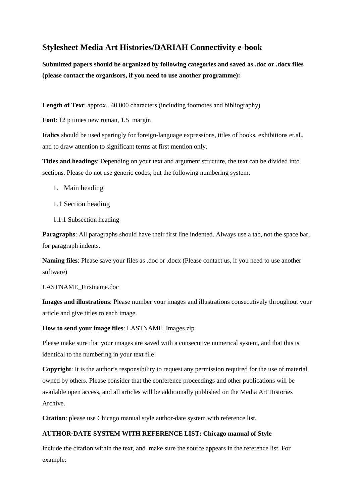# **Stylesheet Media Art Histories/DARIAH Connectivity e-book**

**Submitted papers should be organized by following categories and saved as .doc or .docx files (please contact the organisors, if you need to use another programme):**

**Length of Text**: approx.. 40.000 characters (including footnotes and bibliography)

**Font**: 12 p times new roman, 1.5 margin

**Italics** should be used sparingly for foreign-language expressions, titles of books, exhibitions et.al., and to draw attention to significant terms at first mention only.

**Titles and headings**: Depending on your text and argument structure, the text can be divided into sections. Please do not use generic codes, but the following numbering system:

- 1. Main heading
- 1.1 Section heading
- 1.1.1 Subsection heading

**Paragraphs**: All paragraphs should have their first line indented. Always use a tab, not the space bar, for paragraph indents.

**Naming files**: Please save your files as .doc or .docx (Please contact us, if you need to use another software)

LASTNAME\_Firstname.doc

**Images and illustrations**: Please number your images and illustrations consecutively throughout your article and give titles to each image.

**How to send your image files**: LASTNAME\_Images.zip

Please make sure that your images are saved with a consecutive numerical system, and that this is identical to the numbering in your text file!

**Copyright**: It is the author's responsibility to request any permission required for the use of material owned by others. Please consider that the conference proceedings and other publications will be available open access, and all articles will be additionally published on the Media Art Histories Archive.

**Citation**: please use Chicago manual style author-date system with reference list.

## **AUTHOR**‐**DATE SYSTEM WITH REFERENCE LIST; Chicago manual of Style**

Include the citation within the text, and make sure the source appears in the reference list. For example: